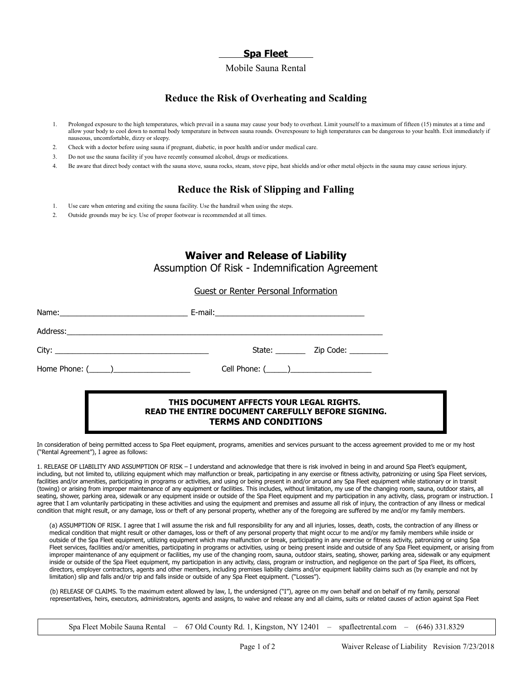## **Spa Fleet**

#### Mobile Sauna Rental

# **Reduce the Risk of Overheating and Scalding**

- 1. Prolonged exposure to the high temperatures, which prevail in a sauna may cause your body to overheat. Limit yourself to a maximum of fifteen (15) minutes at a time and allow your body to cool down to normal body temperature in between sauna rounds. Overexposure to high temperatures can be dangerous to your health. Exit immediately if nauseous, uncomfortable, dizzy or sleepy.
- 2. Check with a doctor before using sauna if pregnant, diabetic, in poor health and/or under medical care.
- 3. Do not use the sauna facility if you have recently consumed alcohol, drugs or medications.
- 4. Be aware that direct body contact with the sauna stove, sauna rocks, steam, stove pipe, heat shields and/or other metal objects in the sauna may cause serious injury.

# **Reduce the Risk of Slipping and Falling**

- 1. Use care when entering and exiting the sauna facility. Use the handrail when using the steps.
- 2. Outside grounds may be icy. Use of proper footwear is recommended at all times.

# **Waiver and Release of Liability**

Assumption Of Risk - Indemnification Agreement

#### Guest or Renter Personal Information

| Name: Name:          |                      |
|----------------------|----------------------|
|                      |                      |
|                      |                      |
| Home Phone: $(\_\_)$ | Cell Phone: $(\_\_)$ |

#### **THIS DOCUMENT AFFECTS YOUR LEGAL RIGHTS. READ THE ENTIRE DOCUMENT CAREFULLY BEFORE SIGNING. TERMS AND CONDITIONS**

In consideration of being permitted access to Spa Fleet equipment, programs, amenities and services pursuant to the access agreement provided to me or my host ("Rental Agreement"), I agree as follows:

1. RELEASE OF LIABILITY AND ASSUMPTION OF RISK – I understand and acknowledge that there is risk involved in being in and around Spa Fleet's equipment, including, but not limited to, utilizing equipment which may malfunction or break, participating in any exercise or fitness activity, patronizing or using Spa Fleet services, facilities and/or amenities, participating in programs or activities, and using or being present in and/or around any Spa Fleet equipment while stationary or in transit (towing) or arising from improper maintenance of any equipment or facilities. This includes, without limitation, my use of the changing room, sauna, outdoor stairs, all seating, shower, parking area, sidewalk or any equipment inside or outside of the Spa Fleet equipment and my participation in any activity, class, program or instruction. I agree that I am voluntarily participating in these activities and using the equipment and premises and assume all risk of injury, the contraction of any illness or medical condition that might result, or any damage, loss or theft of any personal property, whether any of the foregoing are suffered by me and/or my family members.

(a) ASSUMPTION OF RISK. I agree that I will assume the risk and full responsibility for any and all injuries, losses, death, costs, the contraction of any illness or medical condition that might result or other damages, loss or theft of any personal property that might occur to me and/or my family members while inside or outside of the Spa Fleet equipment, utilizing equipment which may malfunction or break, participating in any exercise or fitness activity, patronizing or using Spa Fleet services, facilities and/or amenities, participating in programs or activities, using or being present inside and outside of any Spa Fleet equipment, or arising from improper maintenance of any equipment or facilities, my use of the changing room, sauna, outdoor stairs, seating, shower, parking area, sidewalk or any equipment inside or outside of the Spa Fleet equipment, my participation in any activity, class, program or instruction, and negligence on the part of Spa Fleet, its officers, directors, employer contractors, agents and other members, including premises liability claims and/or equipment liability claims such as (by example and not by limitation) slip and falls and/or trip and falls inside or outside of any Spa Fleet equipment. ("Losses").

(b) RELEASE OF CLAIMS. To the maximum extent allowed by law, I, the undersigned ("I"), agree on my own behalf and on behalf of my family, personal representatives, heirs, executors, administrators, agents and assigns, to waive and release any and all claims, suits or related causes of action against Spa Fleet

Spa Fleet Mobile Sauna Rental – 67 Old County Rd. 1, Kingston, NY 12401 – spafleetrental.com – (646) 331.8329